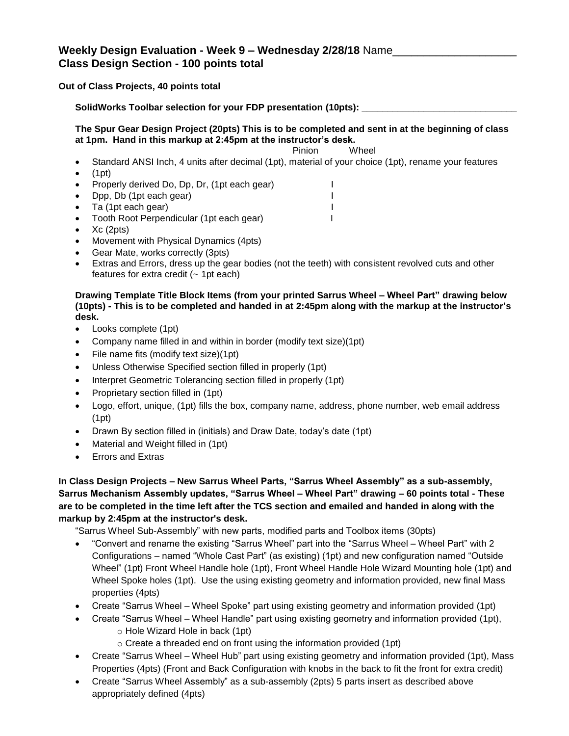# **Weekly Design Evaluation - Week 9 – Wednesday 2/28/18** Name\_\_\_\_\_\_\_\_\_\_\_\_\_\_\_\_\_\_\_\_ **Class Design Section - 100 points total**

### **Out of Class Projects, 40 points total**

SolidWorks Toolbar selection for your FDP presentation (10pts): \_

**The Spur Gear Design Project (20pts) This is to be completed and sent in at the beginning of class at 1pm. Hand in this markup at 2:45pm at the instructor's desk.**

#### Pinion Wheel

- Standard ANSI Inch, 4 units after decimal (1pt), material of your choice (1pt), rename your features
- $\bullet$  (1pt)
- Properly derived Do, Dp, Dr, (1pt each gear) I
- Dpp, Db (1pt each gear) I
- Ta (1pt each gear) I
- Tooth Root Perpendicular (1pt each gear) I
- Xc (2pts)
- Movement with Physical Dynamics (4pts)
- Gear Mate, works correctly (3pts)
- Extras and Errors, dress up the gear bodies (not the teeth) with consistent revolved cuts and other features for extra credit  $($   $\sim$  1pt each)

### **Drawing Template Title Block Items (from your printed Sarrus Wheel – Wheel Part" drawing below (10pts) - This is to be completed and handed in at 2:45pm along with the markup at the instructor's desk.**

- Looks complete (1pt)
- Company name filled in and within in border (modify text size)(1pt)
- File name fits (modify text size)(1pt)
- Unless Otherwise Specified section filled in properly (1pt)
- Interpret Geometric Tolerancing section filled in properly (1pt)
- Proprietary section filled in (1pt)
- Logo, effort, unique, (1pt) fills the box, company name, address, phone number, web email address (1pt)
- Drawn By section filled in (initials) and Draw Date, today's date (1pt)
- Material and Weight filled in (1pt)
- **•** Errors and Extras

## **In Class Design Projects – New Sarrus Wheel Parts, "Sarrus Wheel Assembly" as a sub-assembly, Sarrus Mechanism Assembly updates, "Sarrus Wheel – Wheel Part" drawing – 60 points total - These are to be completed in the time left after the TCS section and emailed and handed in along with the markup by 2:45pm at the instructor's desk.**

"Sarrus Wheel Sub-Assembly" with new parts, modified parts and Toolbox items (30pts)

- "Convert and rename the existing "Sarrus Wheel" part into the "Sarrus Wheel Wheel Part" with 2 Configurations – named "Whole Cast Part" (as existing) (1pt) and new configuration named "Outside Wheel" (1pt) Front Wheel Handle hole (1pt), Front Wheel Handle Hole Wizard Mounting hole (1pt) and Wheel Spoke holes (1pt). Use the using existing geometry and information provided, new final Mass properties (4pts)
- Create "Sarrus Wheel Wheel Spoke" part using existing geometry and information provided (1pt)
- Create "Sarrus Wheel Wheel Handle" part using existing geometry and information provided (1pt),
	- o Hole Wizard Hole in back (1pt)
	- $\circ$  Create a threaded end on front using the information provided (1pt)
- Create "Sarrus Wheel Wheel Hub" part using existing geometry and information provided (1pt), Mass Properties (4pts) (Front and Back Configuration with knobs in the back to fit the front for extra credit)
- Create "Sarrus Wheel Assembly" as a sub-assembly (2pts) 5 parts insert as described above appropriately defined (4pts)